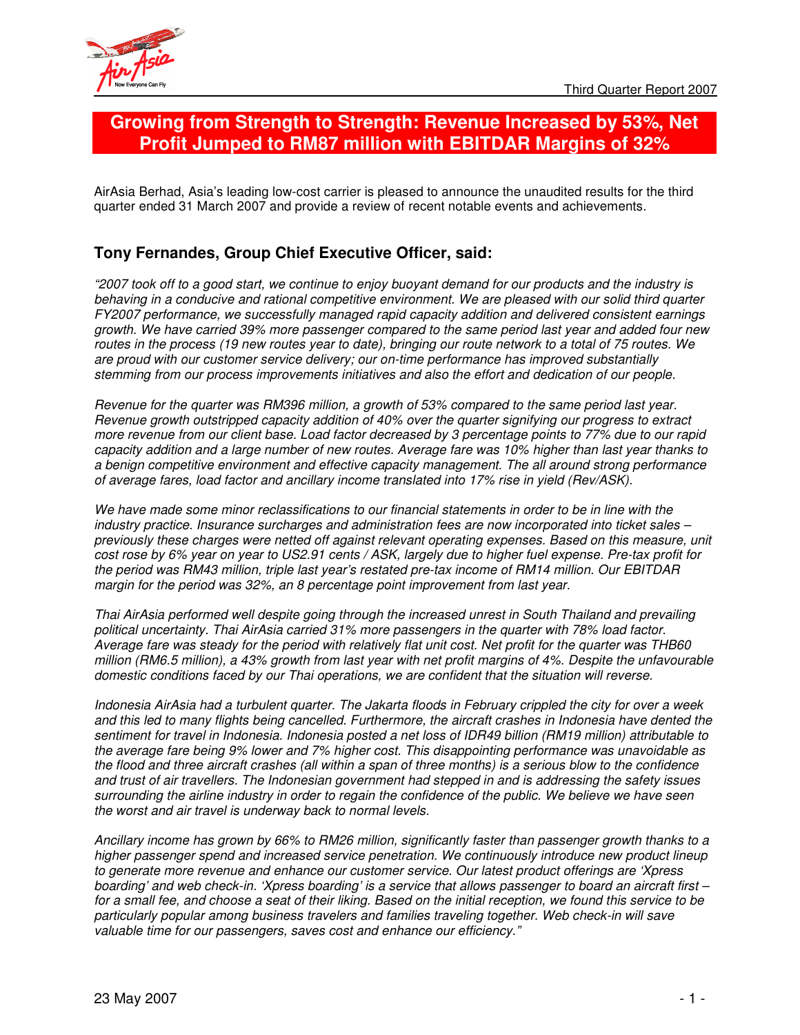

# **Growing from Strength to Strength: Revenue Increased by 53%, Net Profit Jumped to RM87 million with EBITDAR Margins of 32%**

AirAsia Berhad, Asia's leading low-cost carrier is pleased to announce the unaudited results for the third quarter ended 31 March 2007 and provide a review of recent notable events and achievements.

## **Tony Fernandes, Group Chief Executive Officer, said:**

"2007 took off to a good start, we continue to enjoy buoyant demand for our products and the industry is *behaving in a conducive and rational competitive environment. We are pleased with our solid third quarter FY2007 performance, we successfully managed rapid capacity addition and delivered consistent earnings* growth. We have carried 39% more passenger compared to the same period last year and added four new routes in the process (19 new routes year to date), bringing our route network to a total of 75 routes. We *are proud with our customer service delivery; our on-time performance has improved substantially stemming from our process improvements initiatives and also the effort and dedication of our people.*

*Revenue for the quarter was RM396 million, a growth of 53% compared to the same period last year. Revenue growth outstripped capacity addition of 40% over the quarter signifying our progress to extract* more revenue from our client base. Load factor decreased by 3 percentage points to 77% due to our rapid capacity addition and a large number of new routes. Average fare was 10% higher than last year thanks to *a benign competitive environment and effective capacity management. The all around strong performance of average fares, load factor and ancillary income translated into 17% rise in yield (Rev/ASK).*

We have made some minor reclassifications to our financial statements in order to be in line with the *industry practice. Insurance surcharges and administration fees are now incorporated into ticket sales – previously these charges were netted off against relevant operating expenses. Based on this measure, unit* cost rose by 6% year on year to US2.91 cents / ASK, largely due to higher fuel expense. Pre-tax profit for *the period was RM43 million, triple last year's restated pre-tax income of RM14 million. Our EBITDAR margin for the period was 32%, an 8 percentage point improvement from last year.*

*Thai AirAsia performed well despite going through the increased unrest in South Thailand and prevailing political uncertainty. Thai AirAsia carried 31% more passengers in the quarter with 78% load factor.* Average fare was steady for the period with relatively flat unit cost. Net profit for the quarter was THB60 million (RM6.5 million), a 43% growth from last year with net profit margins of 4%. Despite the unfavourable *domestic conditions faced by our Thai operations, we are confident that the situation will reverse.*

Indonesia AirAsia had a turbulent quarter. The Jakarta floods in February crippled the city for over a week and this led to many flights being cancelled. Furthermore, the aircraft crashes in Indonesia have dented the sentiment for travel in Indonesia. Indonesia posted a net loss of IDR49 billion (RM19 million) attributable to *the average fare being 9% lower and 7% higher cost. This disappointing performance was unavoidable as* the flood and three aircraft crashes (all within a span of three months) is a serious blow to the confidence *and trust of air travellers. The Indonesian government had stepped in and is addressing the safety issues* surrounding the airline industry in order to regain the confidence of the public. We believe we have seen *the worst and air travel is underway back to normal levels.*

*Ancillary income has grown by 66% to RM26 million, significantly faster than passenger growth thanks to a higher passenger spend and increased service penetration. We continuously introduce new product lineup to generate more revenue and enhance our customer service. Our latest product offerings are 'Xpress* boarding' and web check-in. 'Xpress boarding' is a service that allows passenger to board an aircraft first for a small fee, and choose a seat of their liking. Based on the initial reception, we found this service to be *particularly popular among business travelers and families traveling together. Web check-in will save valuable time for our passengers, saves cost and enhance our efficiency."*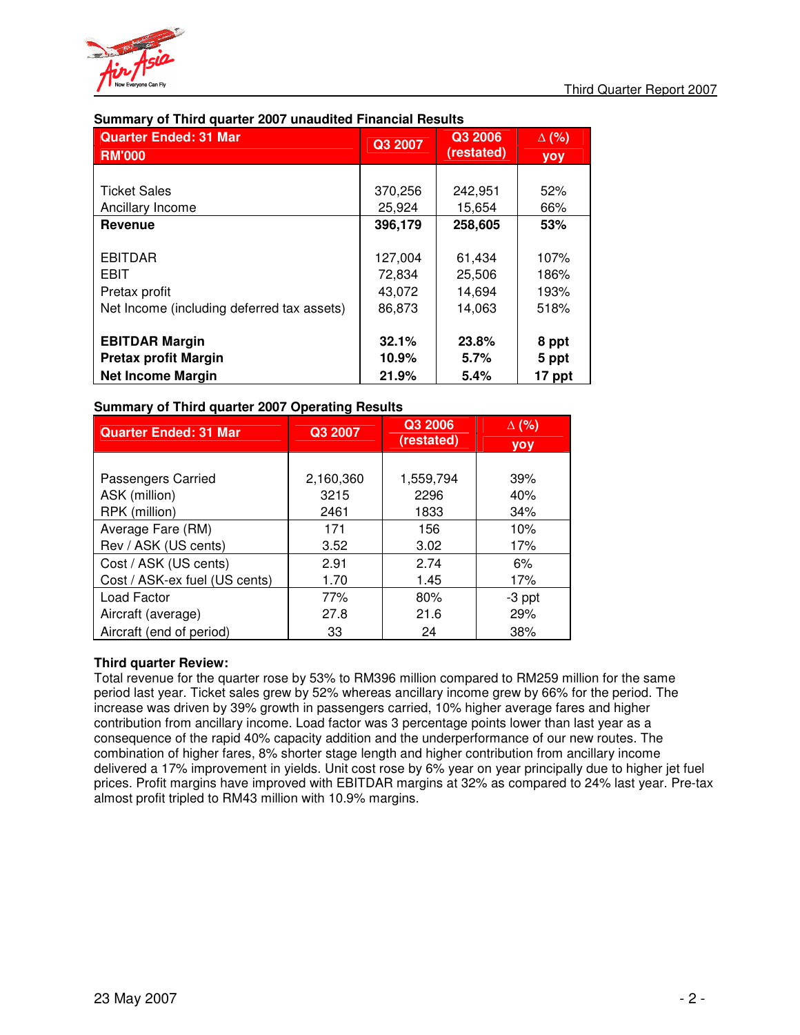

| <b>Quarter Ended: 31 Mar</b>               | Q3 2007 | Q3 2006    | $\Delta$ (%) |
|--------------------------------------------|---------|------------|--------------|
| <b>RM'000</b>                              |         | (restated) | yoy          |
|                                            |         |            |              |
| <b>Ticket Sales</b>                        | 370,256 | 242,951    | 52%          |
| Ancillary Income                           | 25,924  | 15,654     | 66%          |
| <b>Revenue</b>                             | 396,179 | 258,605    | 53%          |
|                                            |         |            |              |
| <b>EBITDAR</b>                             | 127,004 | 61,434     | 107%         |
| <b>EBIT</b>                                | 72,834  | 25,506     | 186%         |
| Pretax profit                              | 43,072  | 14,694     | 193%         |
| Net Income (including deferred tax assets) | 86,873  | 14,063     | 518%         |
|                                            |         |            |              |
| <b>EBITDAR Margin</b>                      | 32.1%   | 23.8%      | 8 ppt        |
| <b>Pretax profit Margin</b>                | 10.9%   | 5.7%       | 5 ppt        |
| <b>Net Income Margin</b>                   | 21.9%   | 5.4%       | 17 ppt       |

### **Summary of Third quarter 2007 unaudited Financial Results**

### **Summary of Third quarter 2007 Operating Results**

| <b>Quarter Ended: 31 Mar</b>  | Q3 2007   |            | $\Delta$ (%) |
|-------------------------------|-----------|------------|--------------|
|                               |           | (restated) | <b>VOV</b>   |
|                               |           |            |              |
| Passengers Carried            | 2,160,360 | 1,559,794  | 39%          |
| ASK (million)                 | 3215      | 2296       | 40%          |
| RPK (million)                 | 2461      | 1833       | 34%          |
| Average Fare (RM)             | 171       | 156        | 10%          |
| Rev / ASK (US cents)          | 3.52      | 3.02       | 17%          |
| Cost / ASK (US cents)         | 2.91      | 2.74       | 6%           |
| Cost / ASK-ex fuel (US cents) | 1.70      | 1.45       | 17%          |
| Load Factor                   | 77%       | 80%        | -3 ppt       |
| Aircraft (average)            | 27.8      | 21.6       | 29%          |
| Aircraft (end of period)      | 33        | 24         | 38%          |

### **Third quarter Review:**

Total revenue for the quarter rose by 53% to RM396 million compared to RM259 million for the same period last year. Ticket sales grew by 52% whereas ancillary income grew by 66% for the period. The increase was driven by 39% growth in passengers carried, 10% higher average fares and higher contribution from ancillary income. Load factor was 3 percentage points lower than last year as a consequence of the rapid 40% capacity addition and the underperformance of our new routes. The combination of higher fares, 8% shorter stage length and higher contribution from ancillary income delivered a 17% improvement in yields. Unit cost rose by 6% year on year principally due to higher jet fuel prices. Profit margins have improved with EBITDAR margins at 32% as compared to 24% last year. Pre-tax almost profit tripled to RM43 million with 10.9% margins.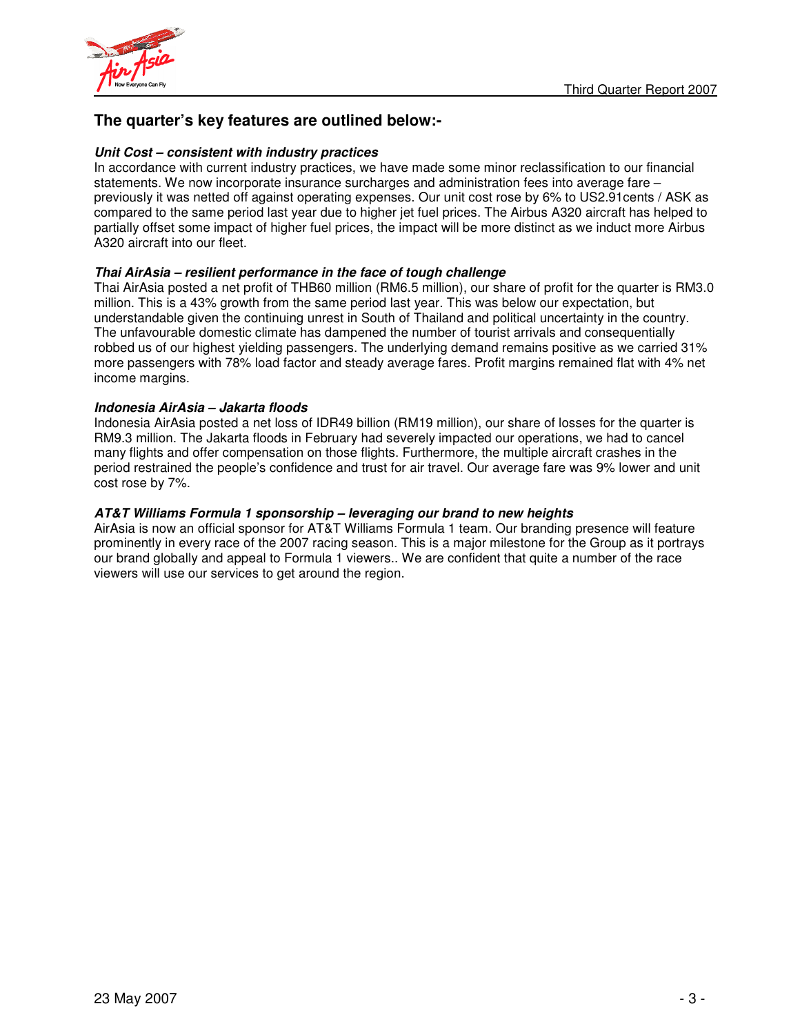

## **The quarter's key features are outlined below:-**

### *Unit Cost – consistent with industry practices*

In accordance with current industry practices, we have made some minor reclassification to our financial statements. We now incorporate insurance surcharges and administration fees into average fare – previously it was netted off against operating expenses. Our unit cost rose by 6% to US2.91cents / ASK as compared to the same period last year due to higher jet fuel prices. The Airbus A320 aircraft has helped to partially offset some impact of higher fuel prices, the impact will be more distinct as we induct more Airbus A320 aircraft into our fleet.

### *Thai AirAsia – resilient performance in the face of tough challenge*

Thai AirAsia posted a net profit of THB60 million (RM6.5 million), our share of profit for the quarter is RM3.0 million. This is a 43% growth from the same period last year. This was below our expectation, but understandable given the continuing unrest in South of Thailand and political uncertainty in the country. The unfavourable domestic climate has dampened the number of tourist arrivals and consequentially robbed us of our highest yielding passengers. The underlying demand remains positive as we carried 31% more passengers with 78% load factor and steady average fares. Profit margins remained flat with 4% net income margins.

### *Indonesia AirAsia – Jakarta floods*

Indonesia AirAsia posted a net loss of IDR49 billion (RM19 million), our share of losses for the quarter is RM9.3 million. The Jakarta floods in February had severely impacted our operations, we had to cancel many flights and offer compensation on those flights. Furthermore, the multiple aircraft crashes in the period restrained the people's confidence and trust for air travel. Our average fare was 9% lower and unit cost rose by 7%.

### *AT&T Williams Formula 1 sponsorship – leveraging our brand to new heights*

AirAsia is now an official sponsor for AT&T Williams Formula 1 team. Our branding presence will feature prominently in every race of the 2007 racing season. This is a major milestone for the Group as it portrays our brand globally and appeal to Formula 1 viewers.. We are confident that quite a number of the race viewers will use our services to get around the region.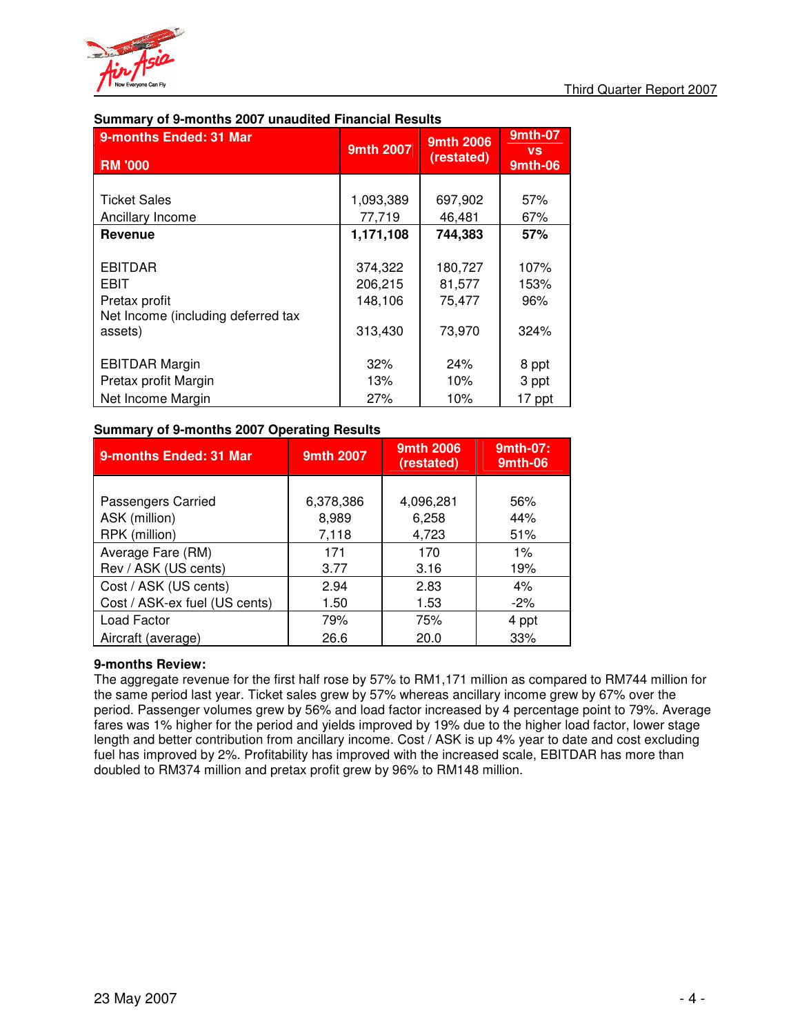

| 9-months Ended: 31 Mar<br><b>RM '000</b> | 9mth 2007 | 9mth 2006<br>(restated) | <b>9mth-07</b><br><b>VS</b><br>9mth-06 |
|------------------------------------------|-----------|-------------------------|----------------------------------------|
|                                          |           |                         |                                        |
| <b>Ticket Sales</b>                      | 1,093,389 | 697,902                 | 57%                                    |
| Ancillary Income                         | 77,719    | 46,481                  | 67%                                    |
| Revenue                                  | 1,171,108 | 744,383                 | 57%                                    |
|                                          |           |                         |                                        |
| <b>EBITDAR</b>                           | 374,322   | 180,727                 | 107%                                   |
| <b>EBIT</b>                              | 206,215   | 81,577                  | 153%                                   |
| Pretax profit                            | 148,106   | 75,477                  | 96%                                    |
| Net Income (including deferred tax       |           |                         |                                        |
| assets)                                  | 313,430   | 73,970                  | 324%                                   |
|                                          |           |                         |                                        |
| <b>EBITDAR Margin</b>                    | 32%       | 24%                     | 8 ppt                                  |
| Pretax profit Margin                     | 13%       | 10%                     | 3 ppt                                  |
| Net Income Margin                        | 27%       | 10%                     | 17 ppt                                 |

### **Summary of 9-months 2007 unaudited Financial Results**

### **Summary of 9-months 2007 Operating Results**

| 9-months Ended: 31 Mar        | 9mth 2007 | 9mth 2006<br>(restated) | 9mth-07:<br>9mth-06 |
|-------------------------------|-----------|-------------------------|---------------------|
|                               |           |                         |                     |
| Passengers Carried            | 6,378,386 | 4,096,281               | 56%                 |
| ASK (million)                 | 8,989     | 6,258                   | 44%                 |
| RPK (million)                 | 7,118     | 4,723                   | 51%                 |
| Average Fare (RM)             | 171       | 170                     | $1\%$               |
| Rev / ASK (US cents)          | 3.77      | 3.16                    | 19%                 |
| Cost / ASK (US cents)         | 2.94      | 2.83                    | 4%                  |
| Cost / ASK-ex fuel (US cents) | 1.50      | 1.53                    | $-2\%$              |
| Load Factor                   | 79%       | 75%                     | 4 ppt               |
| Aircraft (average)            | 26.6      | 20.0                    | 33%                 |

### **9-months Review:**

The aggregate revenue for the first half rose by 57% to RM1,171 million as compared to RM744 million for the same period last year. Ticket sales grew by 57% whereas ancillary income grew by 67% over the period. Passenger volumes grew by 56% and load factor increased by 4 percentage point to 79%. Average fares was 1% higher for the period and yields improved by 19% due to the higher load factor, lower stage length and better contribution from ancillary income. Cost / ASK is up 4% year to date and cost excluding fuel has improved by 2%. Profitability has improved with the increased scale, EBITDAR has more than doubled to RM374 million and pretax profit grew by 96% to RM148 million.